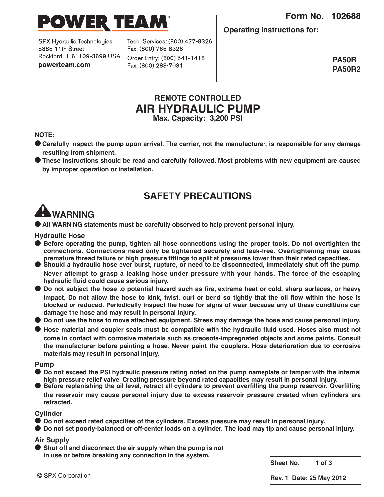



SPX Hydraulic Technologies 5885 11th Street Rockford, IL 61109-3699 USA powerteam.com

Tech. Services: (800) 477-8326 Fax: (800) 765-8326 Order Entry: (800) 541-1418 Fax: (800) 288-7031

**Operating Instructions for:**

**PA50R PA50R2**

# **REMOTE CONTROLLED AIR HYDRAULIC PUMP Max. Capacity: 3,200 PSI**

**NOTE:**

- Carefully inspect the pump upon arrival. The carrier, not the manufacturer, is responsible for any damage **resulting from shipment.**
- **● These instructions should be read and carefully followed. Most problems with new equipment are caused by improper operation or installation.**

# **SAFETY PRECAUTIONS**

# **WARNING**

**● All WARNING statements must be carefully observed to help prevent personal injury.**

**Hydraulic Hose**

- **● Before operating the pump, tighten all hose connections using the proper tools. Do not overtighten the connections. Connections need only be tightened securely and leak-free. Overtightening may cause**
- Should a hydraulic hose ever burst, rupture, or need to be disconnected, immediately shut off the pump. **Never attempt to grasp a leaking hose under pressure with your hands. The force of the escaping hydraulic fluid could cause serious injury.**
- Do not subject the hose to potential hazard such as fire, extreme heat or cold, sharp surfaces, or heavy impact. Do not allow the hose to kink, twist, curl or bend so tightly that the oil flow within the hose is **blocked or reduced. Periodically inspect the hose for signs of wear because any of these conditions can damage the hose and may result in personal injury.**
- Do not use the hose to move attached equipment. Stress may damage the hose and cause personal injury.
- Hose material and coupler seals must be compatible with the hydraulic fluid used. Hoses also must not **come in contact with corrosive materials such as creosote-impregnated objects and some paints. Consult the manufacturer before painting a hose. Never paint the couplers. Hose deterioration due to corrosive materials may result in personal injury.**

#### **Pump**

- Do not exceed the PSI hydraulic pressure rating noted on the pump nameplate or tamper with the internal high pressure relief valve. Creating pressure beyond rated capacities may result in personal injury.<br>Before replenishing the oil level, retract all cylinders to prevent overfilling the pump reservoir. Overfilling
- **the reservoir may cause personal injury due to excess reservoir pressure created when cylinders are retracted.**

#### **Cylinder**

- **● Do not exceed rated capacities of the cylinders. Excess pressure may result in personal injury.**
- Do not set poorly-balanced or off-center loads on a cylinder. The load may tip and cause personal injury.

#### **Air Supply**

**● Shut off and disconnect the air supply when the pump is not in use or before breaking any connection in the system.**

**Sheet No. 1 of 3**

**Rev. 1 Date: 25 May 2012**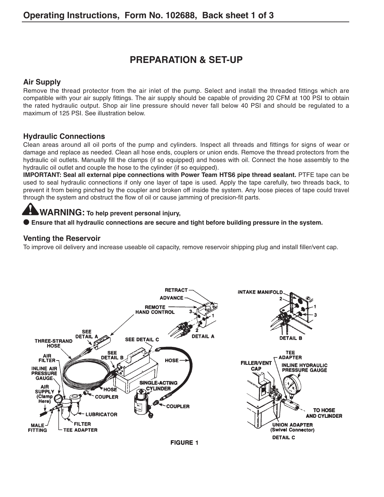# **PREPARATION & SET-UP**

## **Air Supply**

Remove the thread protector from the air inlet of the pump. Select and install the threaded fittings which are compatible with your air supply fittings. The air supply should be capable of providing 20 CFM at 100 PSI to obtain the rated hydraulic output. Shop air line pressure should never fall below 40 PSI and should be regulated to a maximum of 125 PSL See illustration below

# **Hydraulic Connections**

Clean areas around all oil ports of the pump and cylinders. Inspect all threads and fittings for signs of wear or damage and replace as needed. Clean all hose ends, couplers or union ends. Remove the thread protectors from the hydraulic oil outlets. Manually fill the clamps (if so equipped) and hoses with oil. Connect the hose assembly to the hydraulic oil outlet and couple the hose to the cylinder (if so equipped).

**IMPORTANT: Seal all external pipe connections with Power Team HTS6 pipe thread sealant.** PTFE tape can be used to seal hydraulic connections if only one layer of tape is used. Apply the tape carefully, two threads back, to prevent it from being pinched by the coupler and broken off inside the system. Any loose pieces of tape could travel through the system and obstruct the flow of oil or cause jamming of precision-fit parts.

# **WARNING: To help prevent personal injury,**

**● Ensure that all hydraulic connections are secure and tight before building pressure in the system.**

# **Venting the Reservoir**

To improve oil delivery and increase useable oil capacity, remove reservoir shipping plug and install filler/vent cap.



#### **FIGURE 1**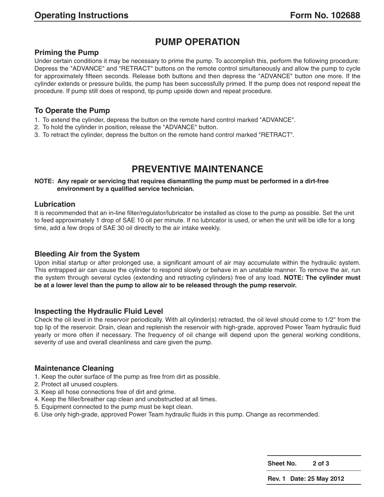# **PUMP OPERATION**

#### **Priming the Pump**

Under certain conditions it may be necessary to prime the pump. To accomplish this, perform the following procedure: Depress the "ADVANCE" and "RETRACT" buttons on the remote control simultaneously and allow the pump to cycle for approximately fifteen seconds. Release both buttons and then depress the "ADVANCE" button one more. If the cylinder extends or pressure builds, the pump has been successfully primed. If the pump does not respond repeat the procedure. If pump still does ot respond, tip pump upside down and repeat procedure.

## **To Operate the Pump**

- 1. To extend the cylinder, depress the button on the remote hand control marked "ADVANCE".
- 2. To hold the cylinder in position, release the "ADVANCE" button.
- 3. To retract the cylinder, depress the button on the remote hand control marked "RETRACT".

# **PREVENTIVE MAINTENANCE**

#### **NOTE: Any repair or servicing that requires dismantling the pump must be performed in a dirt-free environment by a qualified service technician.**

#### **Lubrication**

It is recommended that an in-line filter/regulator/lubricator be installed as close to the pump as possible. Set the unit to feed approximately 1 drop of SAE 10 oil per minute. If no lubricator is used, or when the unit will be idle for a long time, add a few drops of SAE 30 oil directly to the air intake weekly.

## **Bleeding Air from the System**

Upon initial startup or after prolonged use, a significant amount of air may accumulate within the hydraulic system. This entrapped air can cause the cylinder to respond slowly or behave in an unstable manner. To remove the air, run the system through several cycles (extending and retracting cylinders) free of any load. **NOTE: The cylinder must be at a lower level than the pump to allow air to be released through the pump reservoir.**

#### **Inspecting the Hydraulic Fluid Level**

Check the oil level in the reservoir periodically. With all cylinder(s) retracted, the oil level should come to 1/2" from the top lip of the reservoir. Drain, clean and replenish the reservoir with high-grade, approved Power Team hydraulic fluid yearly or more often if necessary. The frequency of oil change will depend upon the general working conditions, severity of use and overall cleanliness and care given the pump.

## **Maintenance Cleaning**

- 1. Keep the outer surface of the pump as free from dirt as possible.
- 2. Protect all unused couplers.
- 3. Keep all hose connections free of dirt and grime.
- 4. Keep the filler/breather cap clean and unobstructed at all times.
- 5. Equipment connected to the pump must be kept clean.
- 6. Use only high-grade, approved Power Team hydraulic fluids in this pump. Change as recommended.

**Sheet No. 2 of 3**

**Rev. 1 Date: 25 May 2012**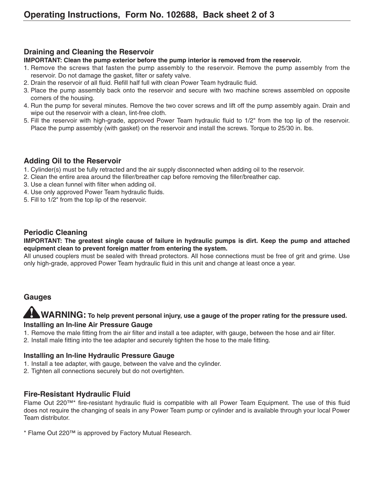# **Draining and Cleaning the Reservoir**

#### **IMPORTANT: Clean the pump exterior before the pump interior is removed from the reservoir.**

- 1. Remove the screws that fasten the pump assembly to the reservoir. Remove the pump assembly from the reservoir. Do not damage the gasket, filter or safety valve.
- 2. Drain the reservoir of all fluid. Refill half full with clean Power Team hydraulic fluid.
- 3. Place the pump assembly back onto the reservoir and secure with two machine screws assembled on opposite corners of the housing.
- 4. Run the pump for several minutes. Remove the two cover screws and lift off the pump assembly again. Drain and wipe out the reservoir with a clean, lint-free cloth.
- 5. Fill the reservoir with high-grade, approved Power Team hydraulic fluid to 1/2" from the top lip of the reservoir. Place the pump assembly (with gasket) on the reservoir and install the screws. Torque to 25/30 in. lbs.

# **Adding Oil to the Reservoir**

- 1. Cylinder(s) must be fully retracted and the air supply disconnected when adding oil to the reservoir.
- 2. Clean the entire area around the filler/breather cap before removing the filler/breather cap.
- 3. Use a clean funnel with filter when adding oil.
- 4. Use only approved Power Team hydraulic fluids.
- 5. Fill to 1/2" from the top lip of the reservoir.

## **Periodic Cleaning**

#### **IMPORTANT: The greatest single cause of failure in hydraulic pumps is dirt. Keep the pump and attached equipment clean to prevent foreign matter from entering the system.**

All unused couplers must be sealed with thread protectors. All hose connections must be free of grit and grime. Use only high-grade, approved Power Team hydraulic fluid in this unit and change at least once a year.

# **Gauges**

# **WARNING: To help prevent personal injury, use a gauge of the proper rating for the pressure used. Installing an In-line Air Pressure Gauge**

- 1. Remove the male fitting from the air filter and install a tee adapter, with gauge, between the hose and air filter.
- 2. Install male fitting into the tee adapter and securely tighten the hose to the male fitting.

## **Installing an In-line Hydraulic Pressure Gauge**

- 1. Install a tee adapter, with gauge, between the valve and the cylinder.
- 2. Tighten all connections securely but do not overtighten.

# **Fire-Resistant Hydraulic Fluid**

Flame Out 220™\* fire-resistant hydraulic fluid is compatible with all Power Team Equipment. The use of this fluid does not require the changing of seals in any Power Team pump or cylinder and is available through your local Power Team distributor.

\* Flame Out 220™ is approved by Factory Mutual Research.